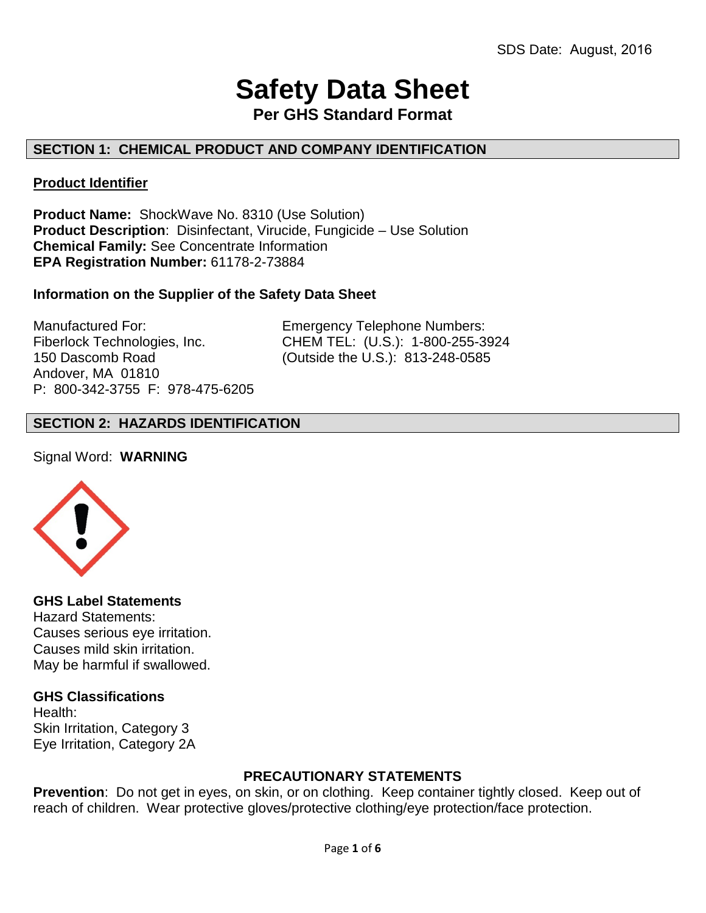# **Safety Data Sheet**

**Per GHS Standard Format**

# **SECTION 1: CHEMICAL PRODUCT AND COMPANY IDENTIFICATION**

## **Product Identifier**

**Product Name:** ShockWave No. 8310 (Use Solution) **Product Description**: Disinfectant, Virucide, Fungicide – Use Solution **Chemical Family:** See Concentrate Information **EPA Registration Number:** 61178-2-73884

## **Information on the Supplier of the Safety Data Sheet**

Manufactured For: Emergency Telephone Numbers: Andover, MA 01810 P: 800-342-3755 F: 978-475-6205

Fiberlock Technologies, Inc. CHEM TEL: (U.S.): 1-800-255-3924 150 Dascomb Road (Outside the U.S.): 813-248-0585

# **SECTION 2: HAZARDS IDENTIFICATION**

#### Signal Word: **WARNING**



**GHS Label Statements**  Hazard Statements: Causes serious eye irritation. Causes mild skin irritation. May be harmful if swallowed.

#### **GHS Classifications**

Health: Skin Irritation, Category 3 Eye Irritation, Category 2A

#### **PRECAUTIONARY STATEMENTS**

**Prevention**: Do not get in eyes, on skin, or on clothing. Keep container tightly closed. Keep out of reach of children. Wear protective gloves/protective clothing/eye protection/face protection.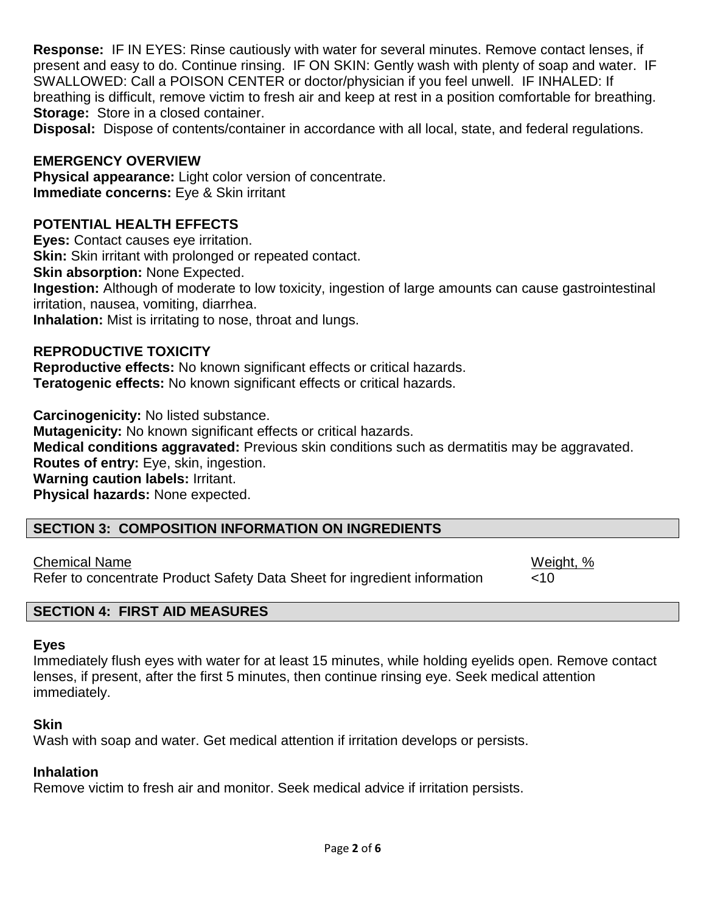**Response:** IF IN EYES: Rinse cautiously with water for several minutes. Remove contact lenses, if present and easy to do. Continue rinsing. IF ON SKIN: Gently wash with plenty of soap and water. IF SWALLOWED: Call a POISON CENTER or doctor/physician if you feel unwell. IF INHALED: If breathing is difficult, remove victim to fresh air and keep at rest in a position comfortable for breathing. **Storage:** Store in a closed container.

**Disposal:** Dispose of contents/container in accordance with all local, state, and federal regulations.

## **EMERGENCY OVERVIEW**

**Physical appearance:** Light color version of concentrate. **Immediate concerns:** Eye & Skin irritant

## **POTENTIAL HEALTH EFFECTS**

**Eyes:** Contact causes eye irritation.

**Skin:** Skin irritant with prolonged or repeated contact.

**Skin absorption:** None Expected.

**Ingestion:** Although of moderate to low toxicity, ingestion of large amounts can cause gastrointestinal irritation, nausea, vomiting, diarrhea.

**Inhalation:** Mist is irritating to nose, throat and lungs.

#### **REPRODUCTIVE TOXICITY**

**Reproductive effects:** No known significant effects or critical hazards. **Teratogenic effects:** No known significant effects or critical hazards.

**Carcinogenicity:** No listed substance. **Mutagenicity:** No known significant effects or critical hazards. **Medical conditions aggravated:** Previous skin conditions such as dermatitis may be aggravated. **Routes of entry:** Eye, skin, ingestion. **Warning caution labels:** Irritant. **Physical hazards:** None expected.

## **SECTION 3: COMPOSITION INFORMATION ON INGREDIENTS**

Chemical Name **Weight, 2006** Refer to concentrate Product Safety Data Sheet for ingredient information <10

# **SECTION 4: FIRST AID MEASURES**

#### **Eyes**

Immediately flush eyes with water for at least 15 minutes, while holding eyelids open. Remove contact lenses, if present, after the first 5 minutes, then continue rinsing eye. Seek medical attention immediately.

#### **Skin**

Wash with soap and water. Get medical attention if irritation develops or persists.

#### **Inhalation**

Remove victim to fresh air and monitor. Seek medical advice if irritation persists.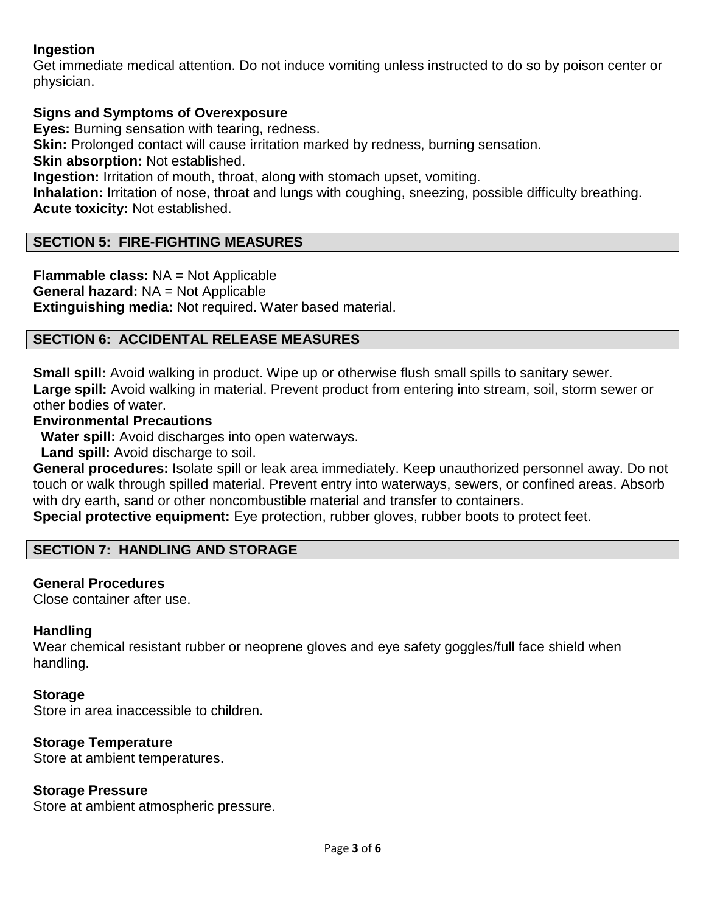# **Ingestion**

Get immediate medical attention. Do not induce vomiting unless instructed to do so by poison center or physician.

## **Signs and Symptoms of Overexposure**

**Eyes:** Burning sensation with tearing, redness.

**Skin:** Prolonged contact will cause irritation marked by redness, burning sensation.

**Skin absorption:** Not established.

**Ingestion:** Irritation of mouth, throat, along with stomach upset, vomiting.

**Inhalation:** Irritation of nose, throat and lungs with coughing, sneezing, possible difficulty breathing. **Acute toxicity:** Not established.

## **SECTION 5: FIRE-FIGHTING MEASURES**

**Flammable class:** NA = Not Applicable **General hazard:** NA = Not Applicable **Extinguishing media:** Not required. Water based material.

## **SECTION 6: ACCIDENTAL RELEASE MEASURES**

**Small spill:** Avoid walking in product. Wipe up or otherwise flush small spills to sanitary sewer. **Large spill:** Avoid walking in material. Prevent product from entering into stream, soil, storm sewer or other bodies of water.

## **Environmental Precautions**

 **Water spill:** Avoid discharges into open waterways.

 **Land spill:** Avoid discharge to soil.

**General procedures:** Isolate spill or leak area immediately. Keep unauthorized personnel away. Do not touch or walk through spilled material. Prevent entry into waterways, sewers, or confined areas. Absorb with dry earth, sand or other noncombustible material and transfer to containers.

**Special protective equipment:** Eye protection, rubber gloves, rubber boots to protect feet.

#### **SECTION 7: HANDLING AND STORAGE**

#### **General Procedures**

Close container after use.

#### **Handling**

Wear chemical resistant rubber or neoprene gloves and eye safety goggles/full face shield when handling.

#### **Storage**

Store in area inaccessible to children.

#### **Storage Temperature**

Store at ambient temperatures.

#### **Storage Pressure**

Store at ambient atmospheric pressure.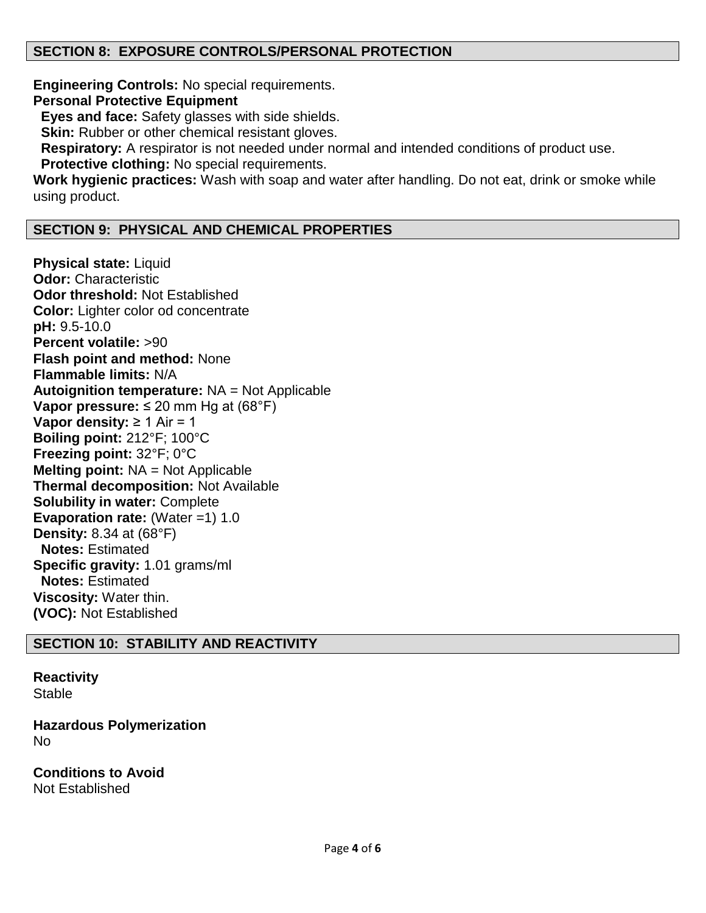## **SECTION 8: EXPOSURE CONTROLS/PERSONAL PROTECTION**

**Engineering Controls:** No special requirements. **Personal Protective Equipment Eyes and face:** Safety glasses with side shields. **Skin:** Rubber or other chemical resistant gloves.  **Respiratory:** A respirator is not needed under normal and intended conditions of product use.  **Protective clothing:** No special requirements. **Work hygienic practices:** Wash with soap and water after handling. Do not eat, drink or smoke while using product.

## **SECTION 9: PHYSICAL AND CHEMICAL PROPERTIES**

**Physical state:** Liquid **Odor:** Characteristic **Odor threshold:** Not Established **Color:** Lighter color od concentrate **pH:** 9.5-10.0 **Percent volatile:** >90 **Flash point and method:** None **Flammable limits:** N/A **Autoignition temperature:** NA = Not Applicable **Vapor pressure:** ≤ 20 mm Hg at (68°F) **Vapor density:** ≥ 1 Air = 1 **Boiling point:** 212°F; 100°C **Freezing point:** 32°F; 0°C **Melting point:** NA = Not Applicable **Thermal decomposition:** Not Available **Solubility in water:** Complete **Evaporation rate:** (Water =1) 1.0 **Density:** 8.34 at (68°F) **Notes:** Estimated **Specific gravity:** 1.01 grams/ml **Notes:** Estimated **Viscosity:** Water thin. **(VOC):** Not Established

#### **SECTION 10: STABILITY AND REACTIVITY**

**Reactivity Stable** 

**Hazardous Polymerization** No

**Conditions to Avoid** Not Established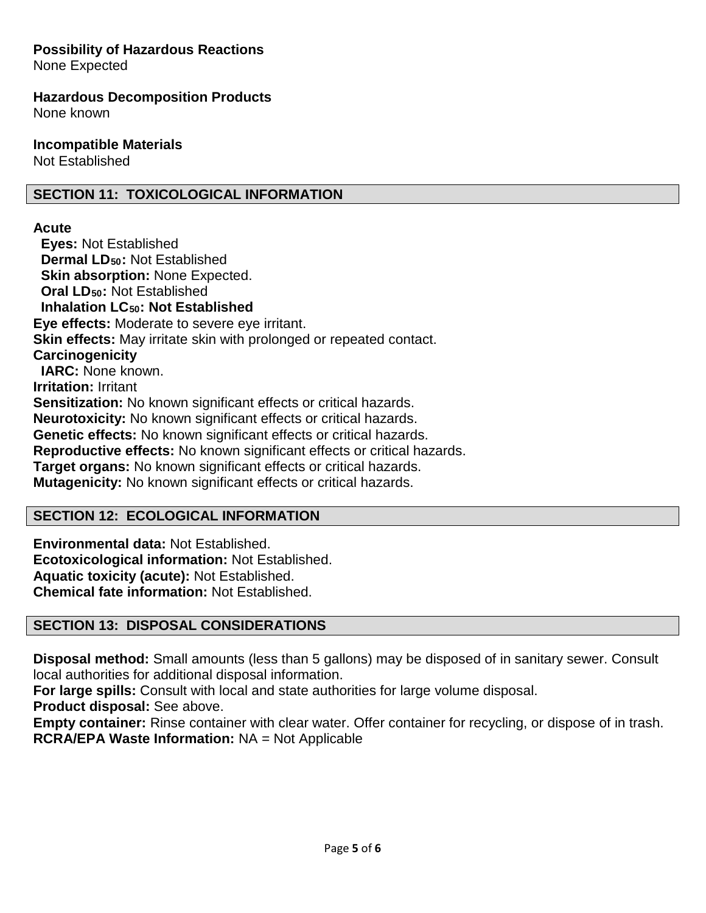# **Possibility of Hazardous Reactions**

None Expected

#### **Hazardous Decomposition Products**

None known

#### **Incompatible Materials**

Not Established

# **SECTION 11: TOXICOLOGICAL INFORMATION**

## **Acute**

 **Eyes:** Not Established  **Dermal LD50:** Not Established **Skin absorption: None Expected. Oral LD<sub>50</sub>: Not Established Inhalation LC50: Not Established Eye effects:** Moderate to severe eye irritant. **Skin effects:** May irritate skin with prolonged or repeated contact. **Carcinogenicity IARC:** None known. **Irritation:** Irritant **Sensitization:** No known significant effects or critical hazards. **Neurotoxicity:** No known significant effects or critical hazards. **Genetic effects:** No known significant effects or critical hazards. **Reproductive effects:** No known significant effects or critical hazards. **Target organs:** No known significant effects or critical hazards. **Mutagenicity:** No known significant effects or critical hazards.

# **SECTION 12: ECOLOGICAL INFORMATION**

**Environmental data:** Not Established. **Ecotoxicological information:** Not Established. **Aquatic toxicity (acute):** Not Established. **Chemical fate information:** Not Established.

# **SECTION 13: DISPOSAL CONSIDERATIONS**

**Disposal method:** Small amounts (less than 5 gallons) may be disposed of in sanitary sewer. Consult local authorities for additional disposal information.

**For large spills:** Consult with local and state authorities for large volume disposal.

**Product disposal:** See above.

**Empty container:** Rinse container with clear water. Offer container for recycling, or dispose of in trash. **RCRA/EPA Waste Information:** NA = Not Applicable